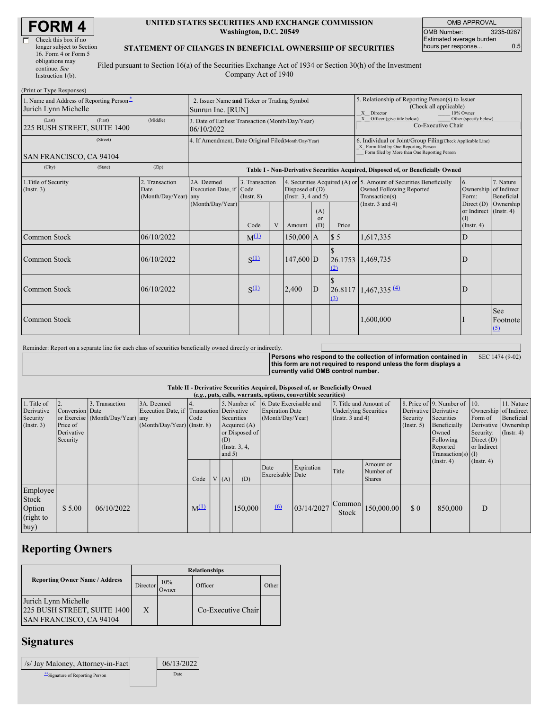| <b>FORM4</b> |
|--------------|
|--------------|

| Check this box if no      |   |
|---------------------------|---|
| longer subject to Section |   |
| 16. Form 4 or Form 5      |   |
| obligations may           | Ī |
| continue. See             |   |
| Instruction $1(b)$ .      |   |

 $(Drint or Trma$ 

 $\Gamma$ 

### **UNITED STATES SECURITIES AND EXCHANGE COMMISSION Washington, D.C. 20549**

| <b>OMB APPROVAL</b>             |  |  |  |  |  |  |  |  |
|---------------------------------|--|--|--|--|--|--|--|--|
| 3235-0287<br><b>OMB Number:</b> |  |  |  |  |  |  |  |  |
| Estimated average burden        |  |  |  |  |  |  |  |  |
| 0.5<br>hours per response       |  |  |  |  |  |  |  |  |

## **STATEMENT OF CHANGES IN BENEFICIAL OWNERSHIP OF SECURITIES**

Filed pursuant to Section 16(a) of the Securities Exchange Act of 1934 or Section 30(h) of the Investment Company Act of 1940

| $(1 \text{ min of } 1 \text{ ypc respectively})$<br>1. Name and Address of Reporting Person-<br>Jurich Lynn Michelle | 2. Issuer Name and Ticker or Trading Symbol<br>Sunrun Inc. [RUN] |                                                      |                                                                |                                                                                  |   | 5. Relationship of Reporting Person(s) to Issuer<br>(Check all applicable)<br>X Director<br>10% Owner |                             |                                                                                                                                                    |                                                                                                                         |                                                                         |                               |  |  |
|----------------------------------------------------------------------------------------------------------------------|------------------------------------------------------------------|------------------------------------------------------|----------------------------------------------------------------|----------------------------------------------------------------------------------|---|-------------------------------------------------------------------------------------------------------|-----------------------------|----------------------------------------------------------------------------------------------------------------------------------------------------|-------------------------------------------------------------------------------------------------------------------------|-------------------------------------------------------------------------|-------------------------------|--|--|
| (Last)<br>225 BUSH STREET, SUITE 1400                                                                                | (First)                                                          | (Middle)                                             | 3. Date of Earliest Transaction (Month/Day/Year)<br>06/10/2022 |                                                                                  |   |                                                                                                       |                             |                                                                                                                                                    | X Officer (give title below)<br>Other (specify below)<br>Co-Executive Chair                                             |                                                                         |                               |  |  |
| SAN FRANCISCO, CA 94104                                                                                              |                                                                  | 4. If Amendment, Date Original Filed(Month/Day/Year) |                                                                |                                                                                  |   |                                                                                                       |                             | 6. Individual or Joint/Group Filing(Check Applicable Line)<br>X Form filed by One Reporting Person<br>Form filed by More than One Reporting Person |                                                                                                                         |                                                                         |                               |  |  |
| (City)                                                                                                               | (State)                                                          | (Zip)                                                |                                                                | Table I - Non-Derivative Securities Acquired, Disposed of, or Beneficially Owned |   |                                                                                                       |                             |                                                                                                                                                    |                                                                                                                         |                                                                         |                               |  |  |
| 1. Title of Security<br>(Insert. 3)                                                                                  |                                                                  | 2. Transaction<br>Date<br>(Month/Day/Year) any       | 2A. Deemed<br>Execution Date, if Code<br>(Month/Day/Year)      | 3. Transaction<br>$($ Instr. $8)$                                                |   | Disposed of $(D)$<br>(Instr. $3, 4$ and $5$ )                                                         |                             |                                                                                                                                                    | 4. Securities Acquired (A) or 5. Amount of Securities Beneficially<br><b>Owned Following Reported</b><br>Transaction(s) | 6.<br>Ownership of Indirect<br>Form:                                    | 7. Nature<br>Beneficial       |  |  |
|                                                                                                                      |                                                                  |                                                      |                                                                | Code                                                                             | V | Amount                                                                                                | (A)<br><sub>or</sub><br>(D) | Price                                                                                                                                              | (Instr. $3$ and $4$ )                                                                                                   | Direct $(D)$<br>or Indirect (Instr. 4)<br>$(\mathrm{I})$<br>(Insert. 4) | Ownership                     |  |  |
| Common Stock                                                                                                         |                                                                  | 06/10/2022                                           |                                                                | $M^{(1)}$                                                                        |   | $150,000$ A                                                                                           |                             | $\sqrt{5}$                                                                                                                                         | 1,617,335                                                                                                               | D                                                                       |                               |  |  |
| <b>Common Stock</b>                                                                                                  |                                                                  | 06/10/2022                                           |                                                                | $S^{(1)}$                                                                        |   | $147,600$ D                                                                                           |                             | (2)                                                                                                                                                | 26.1753 1,469,735                                                                                                       | D                                                                       |                               |  |  |
| Common Stock                                                                                                         |                                                                  | 06/10/2022                                           |                                                                | $S^{(1)}$                                                                        |   | 2,400                                                                                                 | D                           | $\Omega$                                                                                                                                           | $26.8117$ 1,467,335 (4)                                                                                                 | D                                                                       |                               |  |  |
| <b>Common Stock</b>                                                                                                  |                                                                  |                                                      |                                                                |                                                                                  |   |                                                                                                       |                             |                                                                                                                                                    | 1,600,000                                                                                                               |                                                                         | <b>See</b><br>Footnote<br>(5) |  |  |

Reminder: Report on a separate line for each class of securities beneficially owned directly or indirectly.

**Persons who respond to the collection of information contained in this form are not required to respond unless the form displays a currently valid OMB control number.** SEC 1474 (9-02)

#### **Table II - Derivative Securities Acquired, Disposed of, or Beneficially Owned**

| (e.g., puts, calls, warrants, options, convertible securities) |                                                       |                                                    |                                                                                        |           |  |                 |                                                                                      |                                                                       |            |                                                                                 |                                         |                              |                                                                                                                                               |                                                     |                                                                                               |
|----------------------------------------------------------------|-------------------------------------------------------|----------------------------------------------------|----------------------------------------------------------------------------------------|-----------|--|-----------------|--------------------------------------------------------------------------------------|-----------------------------------------------------------------------|------------|---------------------------------------------------------------------------------|-----------------------------------------|------------------------------|-----------------------------------------------------------------------------------------------------------------------------------------------|-----------------------------------------------------|-----------------------------------------------------------------------------------------------|
| 1. Title of<br>Derivative<br>Security<br>$($ Instr. 3 $)$      | Conversion Date<br>Price of<br>Derivative<br>Security | 3. Transaction<br>or Exercise (Month/Day/Year) any | 3A. Deemed<br>Execution Date, if Transaction Derivative<br>(Month/Day/Year) (Instr. 8) | Code      |  | (D)<br>and $5)$ | 5. Number of<br>Securities<br>Acquired $(A)$<br>or Disposed of<br>$($ Instr. $3, 4,$ | 6. Date Exercisable and<br><b>Expiration Date</b><br>(Month/Day/Year) |            | 7. Title and Amount of<br><b>Underlying Securities</b><br>(Instr. $3$ and $4$ ) |                                         | Security<br>$($ Instr. 5 $)$ | 8. Price of 9. Number of 10.<br>Derivative Derivative<br>Securities<br>Beneficially<br>Owned<br>Following<br>Reported<br>$Transaction(s)$ (I) | Form of<br>Security:<br>Direct $(D)$<br>or Indirect | 11. Nature<br>Ownership of Indirect<br>Beneficial<br>Derivative Ownership<br>$($ Instr. 4 $)$ |
|                                                                |                                                       |                                                    |                                                                                        | Code      |  | V(A)            | (D)                                                                                  | Date<br>Exercisable Date                                              | Expiration | Title                                                                           | Amount or<br>Number of<br><b>Shares</b> |                              | $($ Instr. 4 $)$                                                                                                                              | $($ Instr. 4 $)$                                    |                                                                                               |
| Employee<br>Stock<br>Option<br>(right to<br> buy)              | \$5.00                                                | 06/10/2022                                         |                                                                                        | $M^{(1)}$ |  |                 | 150,000                                                                              | 6                                                                     | 03/14/2027 | Common<br><b>Stock</b>                                                          | 150,000.00                              | \$0                          | 850,000                                                                                                                                       | D                                                   |                                                                                               |

# **Reporting Owners**

|                                                                                       | <b>Relationships</b> |              |                    |       |  |  |  |  |
|---------------------------------------------------------------------------------------|----------------------|--------------|--------------------|-------|--|--|--|--|
| <b>Reporting Owner Name / Address</b>                                                 | Director             | 10%<br>Owner | Officer            | Other |  |  |  |  |
| Jurich Lynn Michelle<br>225 BUSH STREET, SUITE 1400<br><b>SAN FRANCISCO, CA 94104</b> | X                    |              | Co-Executive Chair |       |  |  |  |  |

# **Signatures**

| /s/ Jay Maloney, Attorney-in-Fact | 06/13/2022 |
|-----------------------------------|------------|
| ** Signature of Reporting Person  | Date       |
|                                   |            |